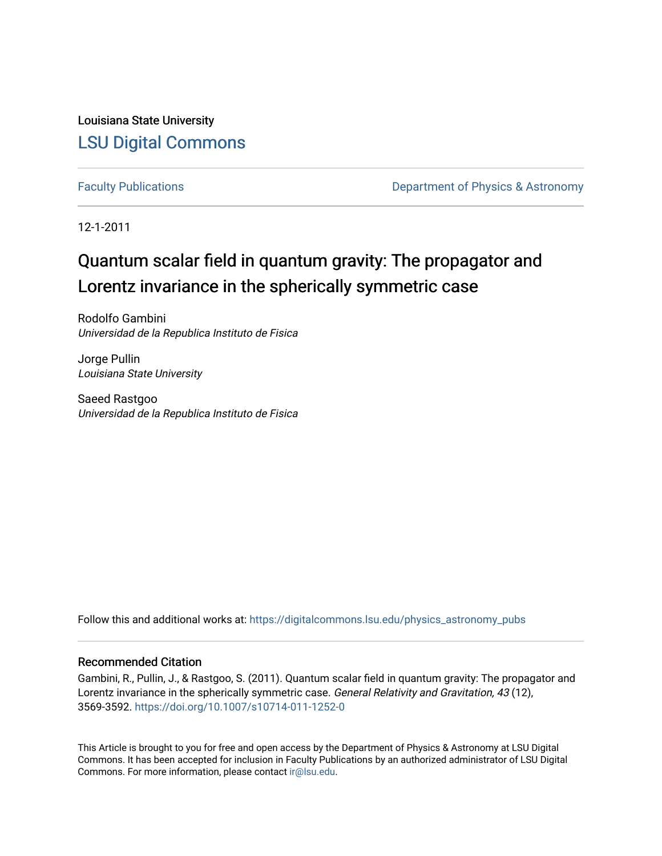Louisiana State University [LSU Digital Commons](https://digitalcommons.lsu.edu/)

[Faculty Publications](https://digitalcommons.lsu.edu/physics_astronomy_pubs) **Exercise 2 and Table 2 and Table 2 and Table 2 and Table 2 and Table 2 and Table 2 and Table 2 and Table 2 and Table 2 and Table 2 and Table 2 and Table 2 and Table 2 and Table 2 and Table 2 and Table** 

12-1-2011

# Quantum scalar field in quantum gravity: The propagator and Lorentz invariance in the spherically symmetric case

Rodolfo Gambini Universidad de la Republica Instituto de Fisica

Jorge Pullin Louisiana State University

Saeed Rastgoo Universidad de la Republica Instituto de Fisica

Follow this and additional works at: [https://digitalcommons.lsu.edu/physics\\_astronomy\\_pubs](https://digitalcommons.lsu.edu/physics_astronomy_pubs?utm_source=digitalcommons.lsu.edu%2Fphysics_astronomy_pubs%2F4343&utm_medium=PDF&utm_campaign=PDFCoverPages) 

# Recommended Citation

Gambini, R., Pullin, J., & Rastgoo, S. (2011). Quantum scalar field in quantum gravity: The propagator and Lorentz invariance in the spherically symmetric case. General Relativity and Gravitation, 43 (12), 3569-3592. <https://doi.org/10.1007/s10714-011-1252-0>

This Article is brought to you for free and open access by the Department of Physics & Astronomy at LSU Digital Commons. It has been accepted for inclusion in Faculty Publications by an authorized administrator of LSU Digital Commons. For more information, please contact [ir@lsu.edu](mailto:ir@lsu.edu).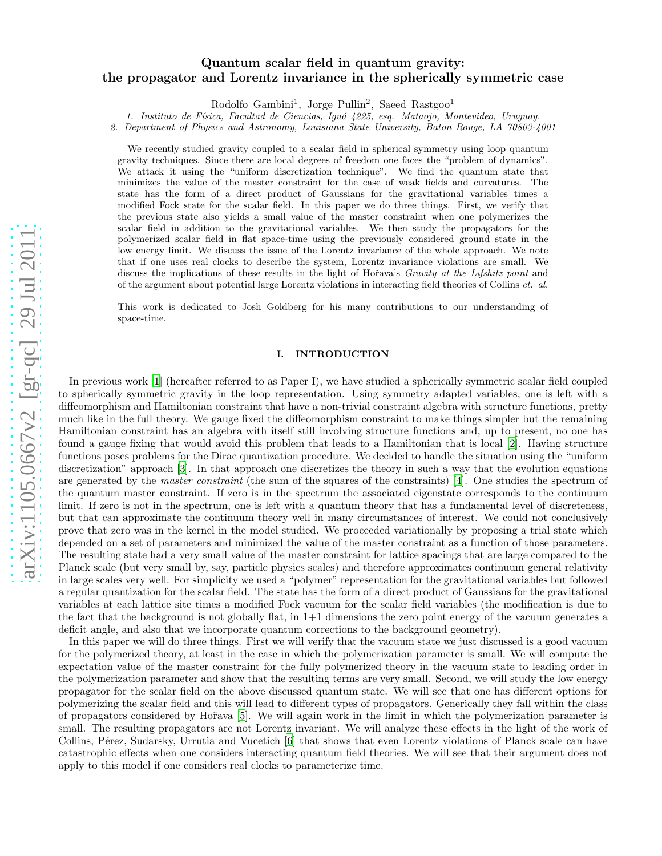# Quantum scalar field in quantum gravity: the propagator and Lorentz invariance in the spherically symmetric case

Rodolfo Gambini<sup>1</sup>, Jorge Pullin<sup>2</sup>, Saeed Rastgoo<sup>1</sup>

1. Instituto de F´ısica, Facultad de Ciencias, Igu´a 4225, esq. Mataojo, Montevideo, Uruguay.

2. Department of Physics and Astronomy, Louisiana State University, Baton Rouge, LA 70803-4001

We recently studied gravity coupled to a scalar field in spherical symmetry using loop quantum gravity techniques. Since there are local degrees of freedom one faces the "problem of dynamics". We attack it using the "uniform discretization technique". We find the quantum state that minimizes the value of the master constraint for the case of weak fields and curvatures. The state has the form of a direct product of Gaussians for the gravitational variables times a modified Fock state for the scalar field. In this paper we do three things. First, we verify that the previous state also yields a small value of the master constraint when one polymerizes the scalar field in addition to the gravitational variables. We then study the propagators for the polymerized scalar field in flat space-time using the previously considered ground state in the low energy limit. We discuss the issue of the Lorentz invariance of the whole approach. We note that if one uses real clocks to describe the system, Lorentz invariance violations are small. We discuss the implications of these results in the light of Hořava's Gravity at the Lifshitz point and of the argument about potential large Lorentz violations in interacting field theories of Collins et. al.

This work is dedicated to Josh Goldberg for his many contributions to our understanding of space-time.

#### I. INTRODUCTION

In previous work [\[1\]](#page-14-0) (hereafter referred to as Paper I), we have studied a spherically symmetric scalar field coupled to spherically symmetric gravity in the loop representation. Using symmetry adapted variables, one is left with a diffeomorphism and Hamiltonian constraint that have a non-trivial constraint algebra with structure functions, pretty much like in the full theory. We gauge fixed the diffeomorphism constraint to make things simpler but the remaining Hamiltonian constraint has an algebra with itself still involving structure functions and, up to present, no one has found a gauge fixing that would avoid this problem that leads to a Hamiltonian that is local [\[2\]](#page-14-1). Having structure functions poses problems for the Dirac quantization procedure. We decided to handle the situation using the "uniform discretization" approach [\[3\]](#page-14-2). In that approach one discretizes the theory in such a way that the evolution equations are generated by the master constraint (the sum of the squares of the constraints) [\[4](#page-14-3)]. One studies the spectrum of the quantum master constraint. If zero is in the spectrum the associated eigenstate corresponds to the continuum limit. If zero is not in the spectrum, one is left with a quantum theory that has a fundamental level of discreteness, but that can approximate the continuum theory well in many circumstances of interest. We could not conclusively prove that zero was in the kernel in the model studied. We proceeded variationally by proposing a trial state which depended on a set of parameters and minimized the value of the master constraint as a function of those parameters. The resulting state had a very small value of the master constraint for lattice spacings that are large compared to the Planck scale (but very small by, say, particle physics scales) and therefore approximates continuum general relativity in large scales very well. For simplicity we used a "polymer" representation for the gravitational variables but followed a regular quantization for the scalar field. The state has the form of a direct product of Gaussians for the gravitational variables at each lattice site times a modified Fock vacuum for the scalar field variables (the modification is due to the fact that the background is not globally flat, in  $1+1$  dimensions the zero point energy of the vacuum generates a deficit angle, and also that we incorporate quantum corrections to the background geometry).

In this paper we will do three things. First we will verify that the vacuum state we just discussed is a good vacuum for the polymerized theory, at least in the case in which the polymerization parameter is small. We will compute the expectation value of the master constraint for the fully polymerized theory in the vacuum state to leading order in the polymerization parameter and show that the resulting terms are very small. Second, we will study the low energy propagator for the scalar field on the above discussed quantum state. We will see that one has different options for polymerizing the scalar field and this will lead to different types of propagators. Generically they fall within the class of propagators considered by Hoˇrava [\[5\]](#page-14-4). We will again work in the limit in which the polymerization parameter is small. The resulting propagators are not Lorentz invariant. We will analyze these effects in the light of the work of Collins, Pérez, Sudarsky, Urrutia and Vucetich [\[6\]](#page-14-5) that shows that even Lorentz violations of Planck scale can have catastrophic effects when one considers interacting quantum field theories. We will see that their argument does not apply to this model if one considers real clocks to parameterize time .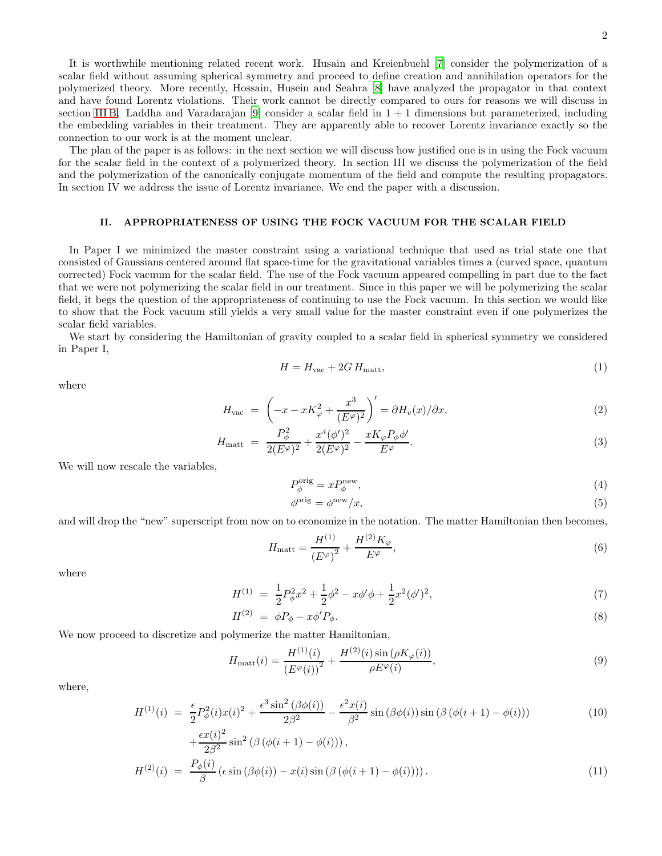2

It is worthwhile mentioning related recent work. Husain and Kreienbuehl [\[7\]](#page-14-6) consider the polymerization of a scalar field without assuming spherical symmetry and proceed to define creation and annihilation operators for the polymerized theory. More recently, Hossain, Husein and Seahra [\[8\]](#page-14-7) have analyzed the propagator in that context and have found Lorentz violations. Their work cannot be directly compared to ours for reasons we will discuss in section [III B.](#page-6-0) Laddha and Varadarajan  $[9]$  consider a scalar field in  $1 + 1$  dimensions but parameterized, including the embedding variables in their treatment. They are apparently able to recover Lorentz invariance exactly so the connection to our work is at the moment unclear.

The plan of the paper is as follows: in the next section we will discuss how justified one is in using the Fock vacuum for the scalar field in the context of a polymerized theory. In section III we discuss the polymerization of the field and the polymerization of the canonically conjugate momentum of the field and compute the resulting propagators. In section IV we address the issue of Lorentz invariance. We end the paper with a discussion.

## II. APPROPRIATENESS OF USING THE FOCK VACUUM FOR THE SCALAR FIELD

In Paper I we minimized the master constraint using a variational technique that used as trial state one that consisted of Gaussians centered around flat space-time for the gravitational variables times a (curved space, quantum corrected) Fock vacuum for the scalar field. The use of the Fock vacuum appeared compelling in part due to the fact that we were not polymerizing the scalar field in our treatment. Since in this paper we will be polymerizing the scalar field, it begs the question of the appropriateness of continuing to use the Fock vacuum. In this section we would like to show that the Fock vacuum still yields a very small value for the master constraint even if one polymerizes the scalar field variables.

We start by considering the Hamiltonian of gravity coupled to a scalar field in spherical symmetry we considered in Paper I,

$$
H = H_{\text{vac}} + 2G H_{\text{matt}},\tag{1}
$$

where

$$
H_{\text{vac}} = \left(-x - xK_{\varphi}^{2} + \frac{x^{3}}{(E^{\varphi})^{2}}\right)' = \partial H_{v}(x)/\partial x, \qquad (2)
$$

$$
H_{\text{matt}} = \frac{P_{\phi}^2}{2(E^{\varphi})^2} + \frac{x^4(\phi')^2}{2(E^{\varphi})^2} - \frac{xK_{\varphi}P_{\phi}\phi'}{E^{\varphi}}.
$$
\n(3)

We will now rescale the variables,

<span id="page-2-2"></span>
$$
P_{\phi}^{\text{orig}} = x P_{\phi}^{\text{new}},\tag{4}
$$

$$
\phi^{\text{orig}} = \phi^{\text{new}}/x,\tag{5}
$$

and will drop the "new" superscript from now on to economize in the notation. The matter Hamiltonian then becomes,

$$
H_{\text{matt}} = \frac{H^{(1)}}{(E^{\varphi})^2} + \frac{H^{(2)}K_{\varphi}}{E^{\varphi}},\tag{6}
$$

where

$$
H^{(1)} = \frac{1}{2}P_{\phi}^{2}x^{2} + \frac{1}{2}\phi^{2} - x\phi'\phi + \frac{1}{2}x^{2}(\phi')^{2},
$$
\n(7)

$$
H^{(2)} = \phi P_{\phi} - x \phi' P_{\phi}.
$$
\n
$$
(8)
$$

We now proceed to discretize and polymerize the matter Hamiltonian,

<span id="page-2-1"></span>
$$
H_{\text{matt}}(i) = \frac{H^{(1)}(i)}{(E^{\varphi}(i))^2} + \frac{H^{(2)}(i)\sin(\rho K_{\varphi}(i))}{\rho E^{\varphi}(i)},
$$
\n(9)

where,

<span id="page-2-0"></span>
$$
H^{(1)}(i) = \frac{\epsilon}{2} P_{\phi}^{2}(i) x(i)^{2} + \frac{\epsilon^{3} \sin^{2}(\beta \phi(i))}{2\beta^{2}} - \frac{\epsilon^{2} x(i)}{\beta^{2}} \sin(\beta \phi(i)) \sin(\beta (\phi(i+1) - \phi(i)))
$$
(10)

$$
+\frac{\epsilon x(i)^2}{2\beta^2}\sin^2\left(\beta\left(\phi(i+1)-\phi(i)\right)\right),\newline H^{(2)}(i) = \frac{P_\phi(i)}{\beta}\left(\epsilon\sin\left(\beta\phi(i)\right)-x(i)\sin\left(\beta\left(\phi(i+1)-\phi(i)\right)\right)\right).
$$
\n(11)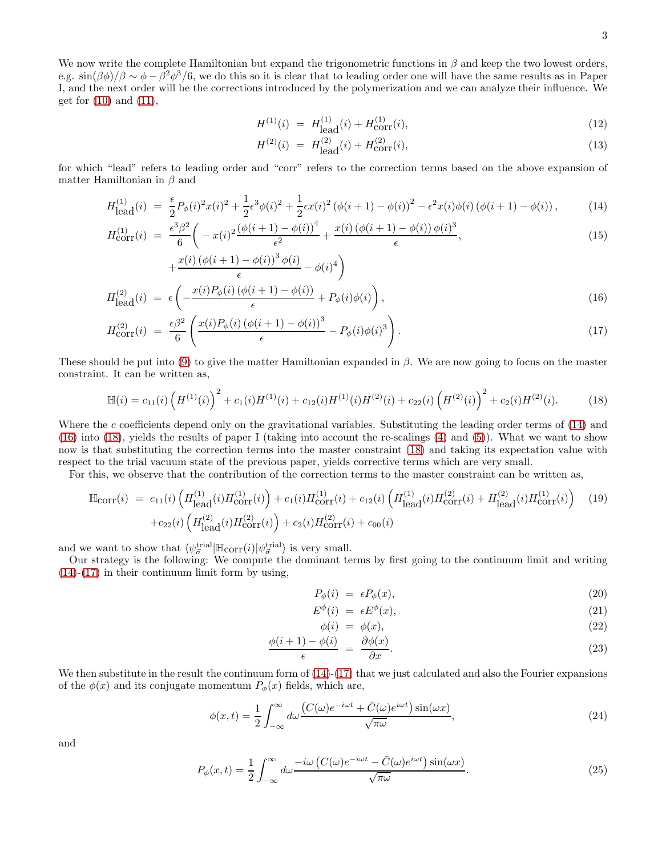$$
H^{(1)}(i) = H^{(1)}_{\text{lead}}(i) + H^{(1)}_{\text{corr}}(i), \tag{12}
$$

$$
H^{(2)}(i) = H^{(2)}_{\text{lead}}(i) + H^{(2)}_{\text{corr}}(i),\tag{13}
$$

for which "lead" refers to leading order and "corr" refers to the correction terms based on the above expansion of matter Hamiltonian in  $\beta$  and

<span id="page-3-0"></span>
$$
H_{\text{lead}}^{(1)}(i) = \frac{\epsilon}{2} P_{\phi}(i)^2 x(i)^2 + \frac{1}{2} \epsilon^3 \phi(i)^2 + \frac{1}{2} \epsilon x(i)^2 (\phi(i+1) - \phi(i))^2 - \epsilon^2 x(i) \phi(i) (\phi(i+1) - \phi(i)), \tag{14}
$$

$$
H_{\text{corr}}^{(1)}(i) = \frac{\epsilon^3 \beta^2}{6} \left( -x(i)^2 \frac{(\phi(i+1) - \phi(i))^4}{\epsilon^2} + \frac{x(i) (\phi(i+1) - \phi(i)) \phi(i)^3}{\epsilon}, \right)
$$
(15)

$$
+\frac{x(i)\left(\phi(i+1)-\phi(i)\right)^3\phi(i)}{\epsilon} - \phi(i)^4
$$
  
\n
$$
H_{\text{lead}}^{(2)}(i) = \epsilon \left(-\frac{x(i)P_{\phi}(i)\left(\phi(i+1)-\phi(i)\right)}{\epsilon} + P_{\phi}(i)\phi(i)\right),\tag{16}
$$

$$
H_{\text{corr}}^{(2)}(i) = \frac{\epsilon \beta^2}{6} \left( \frac{x(i) P_{\phi}(i) \left( \phi(i+1) - \phi(i) \right)^3}{\epsilon} - P_{\phi}(i) \phi(i)^3 \right). \tag{17}
$$

These should be put into [\(9\)](#page-2-1) to give the matter Hamiltonian expanded in  $\beta$ . We are now going to focus on the master constraint. It can be written as,

<span id="page-3-1"></span>
$$
\mathbb{H}(i) = c_{11}(i) \left( H^{(1)}(i) \right)^2 + c_1(i) H^{(1)}(i) + c_{12}(i) H^{(1)}(i) H^{(2)}(i) + c_{22}(i) \left( H^{(2)}(i) \right)^2 + c_2(i) H^{(2)}(i). \tag{18}
$$

Where the c coefficients depend only on the gravitational variables. Substituting the leading order terms of  $(14)$  and [\(16\)](#page-3-0) into [\(18\)](#page-3-1), yields the results of paper I (taking into account the re-scalings [\(4\)](#page-2-2) and [\(5\)](#page-2-2)). What we want to show now is that substituting the correction terms into the master constraint [\(18\)](#page-3-1) and taking its expectation value with respect to the trial vacuum state of the previous paper, yields corrective terms which are very small.

For this, we observe that the contribution of the correction terms to the master constraint can be written as,

<span id="page-3-2"></span>
$$
\mathbb{H}_{\text{corr}}(i) = c_{11}(i) \left( H_{\text{lead}}^{(1)}(i) H_{\text{corr}}^{(1)}(i) \right) + c_{1}(i) H_{\text{corr}}^{(1)}(i) + c_{12}(i) \left( H_{\text{lead}}^{(1)}(i) H_{\text{corr}}^{(2)}(i) + H_{\text{lead}}^{(2)}(i) H_{\text{corr}}^{(1)}(i) \right) \tag{19}
$$
\n
$$
+ c_{22}(i) \left( H_{\text{lead}}^{(2)}(i) H_{\text{corr}}^{(2)}(i) \right) + c_{2}(i) H_{\text{corr}}^{(2)}(i) + c_{00}(i)
$$

and we want to show that  $\langle \psi_{\vec{\sigma}}^{\text{trial}} | \mathbb{H}_{\text{corr}}(i) | \psi_{\vec{\sigma}}^{\text{trial}} \rangle$  is very small.

Our strategy is the following: We compute the dominant terms by first going to the continuum limit and writing [\(14\)](#page-3-0)-[\(17\)](#page-3-0) in their continuum limit form by using,

$$
P_{\phi}(i) = \epsilon P_{\phi}(x), \tag{20}
$$

$$
E^{\phi}(i) = \epsilon E^{\phi}(x), \tag{21}
$$

$$
\phi(i) = \phi(x),\tag{22}
$$

$$
\frac{\phi(i+1) - \phi(i)}{\epsilon} = \frac{\partial \phi(x)}{\partial x}.
$$
\n(23)

We then substitute in the result the continuum form of  $(14)-(17)$  $(14)-(17)$  that we just calculated and also the Fourier expansions of the  $\phi(x)$  and its conjugate momentum  $P_{\phi}(x)$  fields, which are,

$$
\phi(x,t) = \frac{1}{2} \int_{-\infty}^{\infty} d\omega \frac{\left(C(\omega)e^{-i\omega t} + \bar{C}(\omega)e^{i\omega t}\right)\sin(\omega x)}{\sqrt{\pi \omega}},\tag{24}
$$

and

$$
P_{\phi}(x,t) = \frac{1}{2} \int_{-\infty}^{\infty} d\omega \frac{-i\omega \left( C(\omega)e^{-i\omega t} - \bar{C}(\omega)e^{i\omega t} \right) \sin(\omega x)}{\sqrt{\pi \omega}}.
$$
 (25)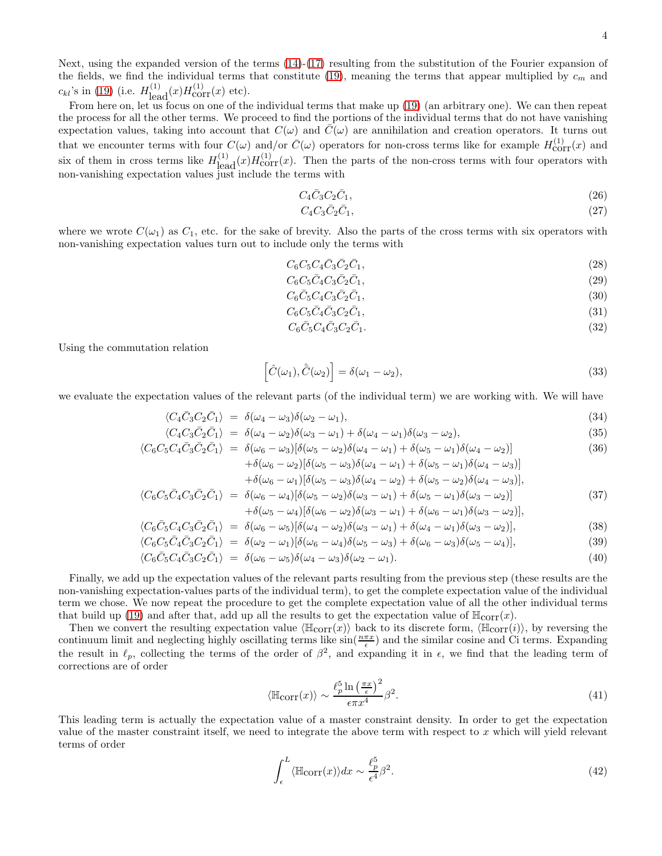Next, using the expanded version of the terms [\(14\)](#page-3-0)-[\(17\)](#page-3-0) resulting from the substitution of the Fourier expansion of the fields, we find the individual terms that constitute  $(19)$ , meaning the terms that appear multiplied by  $c_m$  and  $c_{kl}$ 's in [\(19\)](#page-3-2) (i.e.  $H_{\text{lead}}^{(1)}(x)H_{\text{corr}}^{(1)}(x)$  etc).

From here on, let us focus on one of the individual terms that make up [\(19\)](#page-3-2) (an arbitrary one). We can then repeat the process for all the other terms. We proceed to find the portions of the individual terms that do not have vanishing expectation values, taking into account that  $C(\omega)$  and  $\overline{C}(\omega)$  are annihilation and creation operators. It turns out that we encounter terms with four  $C(\omega)$  and/or  $\overline{C}(\omega)$  operators for non-cross terms like for example  $H_{\text{corr}}^{(1)}(x)$  and six of them in cross terms like  $H_{\text{lead}}^{(1)}(x)H_{\text{corr}}^{(1)}(x)$ . Then the parts of the non-cross terms with four operators with non-vanishing expectation values just include the terms with

$$
C_4\bar{C}_3C_2\bar{C}_1,
$$
\n<sup>(26)</sup>

$$
C_4 C_3 \bar{C}_2 \bar{C}_1, \tag{27}
$$

where we wrote  $C(\omega_1)$  as  $C_1$ , etc. for the sake of brevity. Also the parts of the cross terms with six operators with non-vanishing expectation values turn out to include only the terms with

$$
C_6 C_5 C_4 \bar{C}_3 \bar{C}_2 \bar{C}_1,
$$
\n(28)

$$
C_6 C_5 \bar{C}_4 C_3 \bar{C}_2 \bar{C}_1,
$$
\n(29)

$$
C_6 \bar{C}_5 C_4 C_3 \bar{C}_2 \bar{C}_1, \tag{30}
$$
\n
$$
C_6 \bar{C}_5 C_4 C_3 \bar{C}_2 \bar{C}_1, \tag{31}
$$

$$
C_6 C_5 \bar{C}_4 \bar{C}_3 C_2 \bar{C}_1, \tag{31}
$$

$$
C_6\bar{C}_5C_4\bar{C}_3C_2\bar{C}_1.
$$
\n(32)

Using the commutation relation

$$
\left[\hat{C}(\omega_1), \hat{\bar{C}}(\omega_2)\right] = \delta(\omega_1 - \omega_2),\tag{33}
$$

we evaluate the expectation values of the relevant parts (of the individual term) we are working with. We will have

$$
\langle C_4 \bar{C}_3 C_2 \bar{C}_1 \rangle = \delta(\omega_4 - \omega_3) \delta(\omega_2 - \omega_1), \tag{34}
$$

$$
\langle C_4 C_3 \bar{C}_2 \bar{C}_1 \rangle = \delta(\omega_4 - \omega_2) \delta(\omega_3 - \omega_1) + \delta(\omega_4 - \omega_1) \delta(\omega_3 - \omega_2), \tag{35}
$$

$$
\langle C_6 C_5 C_4 \bar{C}_3 \bar{C}_2 \bar{C}_1 \rangle = \delta(\omega_6 - \omega_3) [\delta(\omega_5 - \omega_2) \delta(\omega_4 - \omega_1) + \delta(\omega_5 - \omega_1) \delta(\omega_4 - \omega_2)] + \delta(\omega_6 - \omega_2) [\delta(\omega_5 - \omega_3) \delta(\omega_4 - \omega_1) + \delta(\omega_5 - \omega_1) \delta(\omega_4 - \omega_3)]
$$
\n(36)

$$
+\delta(\omega_6-\omega_1)[\delta(\omega_5-\omega_3)\delta(\omega_4-\omega_2)+\delta(\omega_5-\omega_2)\delta(\omega_4-\omega_3)],
$$

$$
\langle C_6 C_5 \bar{C}_4 C_3 \bar{C}_2 \bar{C}_1 \rangle = \delta(\omega_6 - \omega_4) [\delta(\omega_5 - \omega_2) \delta(\omega_3 - \omega_1) + \delta(\omega_5 - \omega_1) \delta(\omega_3 - \omega_2)] + \delta(\omega_5 - \omega_4) [\delta(\omega_6 - \omega_2) \delta(\omega_3 - \omega_1) + \delta(\omega_6 - \omega_1) \delta(\omega_3 - \omega_2)].
$$
\n(37)

$$
\langle C_6 \bar{C}_5 C_4 C_3 \bar{C}_2 \bar{C}_1 \rangle = \delta(\omega_6 - \omega_5) [\delta(\omega_4 - \omega_2) \delta(\omega_3 - \omega_1) + \delta(\omega_4 - \omega_1) \delta(\omega_3 - \omega_2)], \tag{38}
$$

$$
\langle C_6 C_5 \bar{C}_4 \bar{C}_3 C_2 \bar{C}_1 \rangle = \delta(\omega_2 - \omega_1) [\delta(\omega_6 - \omega_4) \delta(\omega_5 - \omega_3) + \delta(\omega_6 - \omega_3) \delta(\omega_5 - \omega_4)], \qquad (39)
$$

$$
\langle C_6 \bar{C}_5 C_4 \bar{C}_3 C_2 \bar{C}_1 \rangle = \delta(\omega_6 - \omega_5) \delta(\omega_4 - \omega_3) \delta(\omega_2 - \omega_1). \tag{40}
$$

Finally, we add up the expectation values of the relevant parts resulting from the previous step (these results are the non-vanishing expectation-values parts of the individual term), to get the complete expectation value of the individual term we chose. We now repeat the procedure to get the complete expectation value of all the other individual terms that build up [\(19\)](#page-3-2) and after that, add up all the results to get the expectation value of  $\mathbb{H}_{\text{corr}}(x)$ .

Then we convert the resulting expectation value  $\langle \mathbb{H}_{\text{corr}}(x) \rangle$  back to its discrete form,  $\langle \mathbb{H}_{\text{corr}}(i) \rangle$ , by reversing the continuum limit and neglecting highly oscillating terms like  $\sin(\frac{n\pi x}{\epsilon})$  and the similar cosine and Ci terms. Expanding the result in  $\ell_p$ , collecting the terms of the order of  $\beta^2$ , and expanding it in  $\epsilon$ , we find that the leading term of corrections are of order

$$
\langle \mathbb{H}_{\text{corr}}(x) \rangle \sim \frac{\ell_p^5 \ln \left(\frac{\pi x}{\epsilon}\right)^2}{\epsilon \pi x^4} \beta^2. \tag{41}
$$

This leading term is actually the expectation value of a master constraint density. In order to get the expectation value of the master constraint itself, we need to integrate the above term with respect to  $x$  which will yield relevant terms of order

$$
\int_{\epsilon}^{L} \langle \mathbb{H}_{\text{corr}}(x) \rangle dx \sim \frac{\ell_p^5}{\epsilon^4} \beta^2. \tag{42}
$$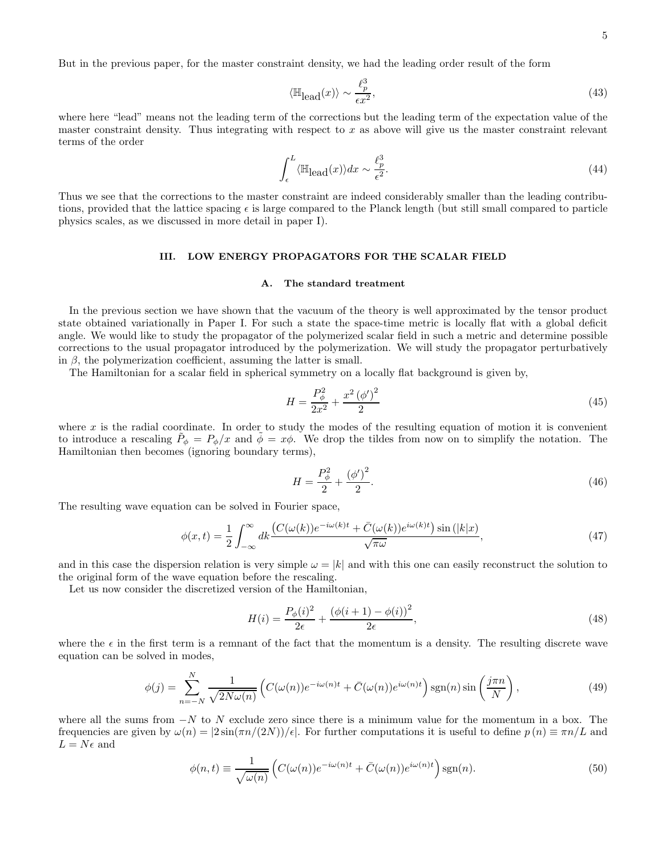But in the previous paper, for the master constraint density, we had the leading order result of the form

$$
\langle \mathbb{H}_{\text{lead}}(x) \rangle \sim \frac{\ell_p^3}{\epsilon x^2},\tag{43}
$$

where here "lead" means not the leading term of the corrections but the leading term of the expectation value of the master constraint density. Thus integrating with respect to  $x$  as above will give us the master constraint relevant terms of the order

$$
\int_{\epsilon}^{L} \langle \mathbb{H}_{\text{lead}}(x) \rangle dx \sim \frac{\ell_p^3}{\epsilon^2}.
$$
\n(44)

Thus we see that the corrections to the master constraint are indeed considerably smaller than the leading contributions, provided that the lattice spacing  $\epsilon$  is large compared to the Planck length (but still small compared to particle physics scales, as we discussed in more detail in paper I).

#### III. LOW ENERGY PROPAGATORS FOR THE SCALAR FIELD

#### A. The standard treatment

In the previous section we have shown that the vacuum of the theory is well approximated by the tensor product state obtained variationally in Paper I. For such a state the space-time metric is locally flat with a global deficit angle. We would like to study the propagator of the polymerized scalar field in such a metric and determine possible corrections to the usual propagator introduced by the polymerization. We will study the propagator perturbatively in  $\beta$ , the polymerization coefficient, assuming the latter is small.

The Hamiltonian for a scalar field in spherical symmetry on a locally flat background is given by,

$$
H = \frac{P_{\phi}^{2}}{2x^{2}} + \frac{x^{2} (\phi')^{2}}{2}
$$
\n(45)

where  $x$  is the radial coordinate. In order to study the modes of the resulting equation of motion it is convenient to introduce a rescaling  $\tilde{P}_{\phi} = P_{\phi}/x$  and  $\tilde{\phi} = x\phi$ . We drop the tildes from now on to simplify the notation. The Hamiltonian then becomes (ignoring boundary terms),

$$
H = \frac{P_{\phi}^2}{2} + \frac{(\phi')^2}{2}.
$$
\n(46)

The resulting wave equation can be solved in Fourier space,

$$
\phi(x,t) = \frac{1}{2} \int_{-\infty}^{\infty} dk \frac{\left(C(\omega(k))e^{-i\omega(k)t} + \bar{C}(\omega(k))e^{i\omega(k)t}\right)\sin\left(|k|x\right)}{\sqrt{\pi\omega}},\tag{47}
$$

and in this case the dispersion relation is very simple  $\omega = |k|$  and with this one can easily reconstruct the solution to the original form of the wave equation before the rescaling.

Let us now consider the discretized version of the Hamiltonian,

$$
H(i) = \frac{P_{\phi}(i)^2}{2\epsilon} + \frac{(\phi(i+1) - \phi(i))^2}{2\epsilon},
$$
\n(48)

where the  $\epsilon$  in the first term is a remnant of the fact that the momentum is a density. The resulting discrete wave equation can be solved in modes,

$$
\phi(j) = \sum_{n=-N}^{N} \frac{1}{\sqrt{2N\omega(n)}} \left( C(\omega(n))e^{-i\omega(n)t} + \bar{C}(\omega(n))e^{i\omega(n)t} \right) \operatorname{sgn}(n) \sin\left(\frac{j\pi n}{N}\right),\tag{49}
$$

where all the sums from  $-N$  to N exclude zero since there is a minimum value for the momentum in a box. The frequencies are given by  $\omega(n) = |2 \sin(\pi n/(2N)) / \epsilon|$ . For further computations it is useful to define  $p(n) \equiv \pi n/L$  and  $L = N\epsilon$  and

$$
\phi(n,t) \equiv \frac{1}{\sqrt{\omega(n)}} \left( C(\omega(n))e^{-i\omega(n)t} + \bar{C}(\omega(n))e^{i\omega(n)t} \right) \text{sgn}(n). \tag{50}
$$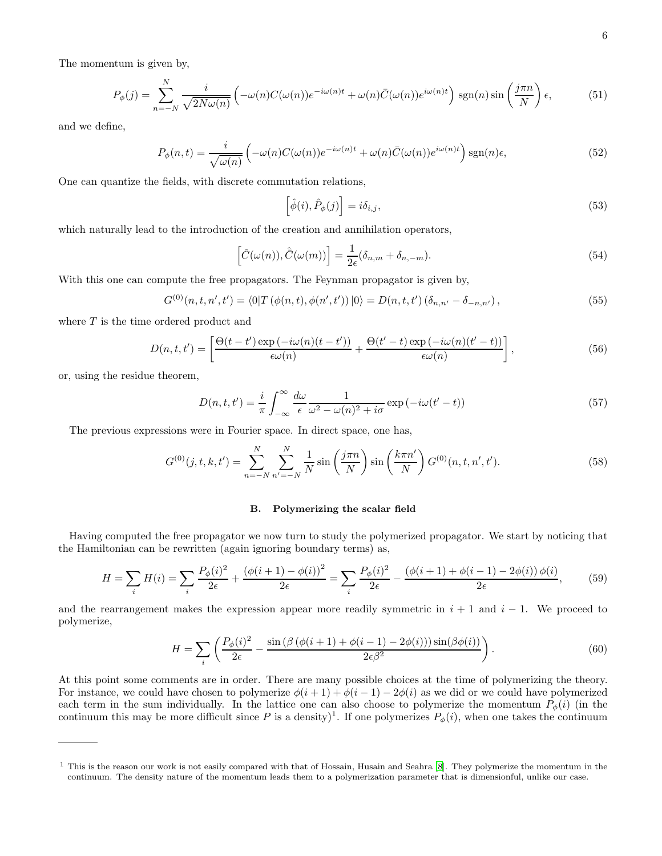The momentum is given by,

$$
P_{\phi}(j) = \sum_{n=-N}^{N} \frac{i}{\sqrt{2N\omega(n)}} \left( -\omega(n)C(\omega(n))e^{-i\omega(n)t} + \omega(n)\bar{C}(\omega(n))e^{i\omega(n)t} \right) \operatorname{sgn}(n)\sin\left(\frac{j\pi n}{N}\right)\epsilon,\tag{51}
$$

and we define,

$$
P_{\phi}(n,t) = \frac{i}{\sqrt{\omega(n)}} \left( -\omega(n)C(\omega(n))e^{-i\omega(n)t} + \omega(n)\bar{C}(\omega(n))e^{i\omega(n)t} \right) \text{sgn}(n)\epsilon,
$$
\n(52)

One can quantize the fields, with discrete commutation relations,

$$
\left[\hat{\phi}(i), \hat{P}_{\phi}(j)\right] = i\delta_{i,j},\tag{53}
$$

which naturally lead to the introduction of the creation and annihilation operators,

$$
\left[\hat{C}(\omega(n)), \hat{C}(\omega(m))\right] = \frac{1}{2\epsilon}(\delta_{n,m} + \delta_{n,-m}).\tag{54}
$$

With this one can compute the free propagators. The Feynman propagator is given by,

$$
G^{(0)}(n,t,n',t') = \langle 0|T(\phi(n,t),\phi(n',t'))|0\rangle = D(n,t,t')(\delta_{n,n'} - \delta_{-n,n'})\,,\tag{55}
$$

where  $T$  is the time ordered product and

$$
D(n,t,t') = \left[\frac{\Theta(t-t')\exp(-i\omega(n)(t-t'))}{\epsilon\omega(n)} + \frac{\Theta(t'-t)\exp(-i\omega(n)(t'-t))}{\epsilon\omega(n)}\right],
$$
\n(56)

or, using the residue theorem,

<span id="page-6-1"></span>
$$
D(n, t, t') = \frac{i}{\pi} \int_{-\infty}^{\infty} \frac{d\omega}{\epsilon} \frac{1}{\omega^2 - \omega(n)^2 + i\sigma} \exp\left(-i\omega(t' - t)\right)
$$
(57)

The previous expressions were in Fourier space. In direct space, one has,

$$
G^{(0)}(j,t,k,t') = \sum_{n=-N}^{N} \sum_{n'=-N}^{N} \frac{1}{N} \sin\left(\frac{j\pi n}{N}\right) \sin\left(\frac{k\pi n'}{N}\right) G^{(0)}(n,t,n',t'). \tag{58}
$$

#### <span id="page-6-0"></span>B. Polymerizing the scalar field

Having computed the free propagator we now turn to study the polymerized propagator. We start by noticing that the Hamiltonian can be rewritten (again ignoring boundary terms) as,

$$
H = \sum_{i} H(i) = \sum_{i} \frac{P_{\phi}(i)^2}{2\epsilon} + \frac{(\phi(i+1) - \phi(i))^2}{2\epsilon} = \sum_{i} \frac{P_{\phi}(i)^2}{2\epsilon} - \frac{(\phi(i+1) + \phi(i-1) - 2\phi(i))\,\phi(i)}{2\epsilon},\tag{59}
$$

and the rearrangement makes the expression appear more readily symmetric in  $i + 1$  and  $i - 1$ . We proceed to polymerize,

$$
H = \sum_{i} \left( \frac{P_{\phi}(i)^2}{2\epsilon} - \frac{\sin\left(\beta\left(\phi(i+1) + \phi(i-1) - 2\phi(i)\right)\right)\sin(\beta\phi(i))}{2\epsilon\beta^2} \right). \tag{60}
$$

At this point some comments are in order. There are many possible choices at the time of polymerizing the theory. For instance, we could have chosen to polymerize  $\phi(i+1) + \phi(i-1) - 2\phi(i)$  as we did or we could have polymerized each term in the sum individually. In the lattice one can also choose to polymerize the momentum  $P_{\phi}(i)$  (in the continuum this may be more difficult since P is a density)<sup>1</sup>. If one polymerizes  $P_{\phi}(i)$ , when one takes the continuum

 $1$  This is the reason our work is not easily compared with that of Hossain, Husain and Seahra [\[8](#page-14-7)]. They polymerize the momentum in the continuum. The density nature of the momentum leads them to a polymerization parameter that is dimensionful, unlike our case.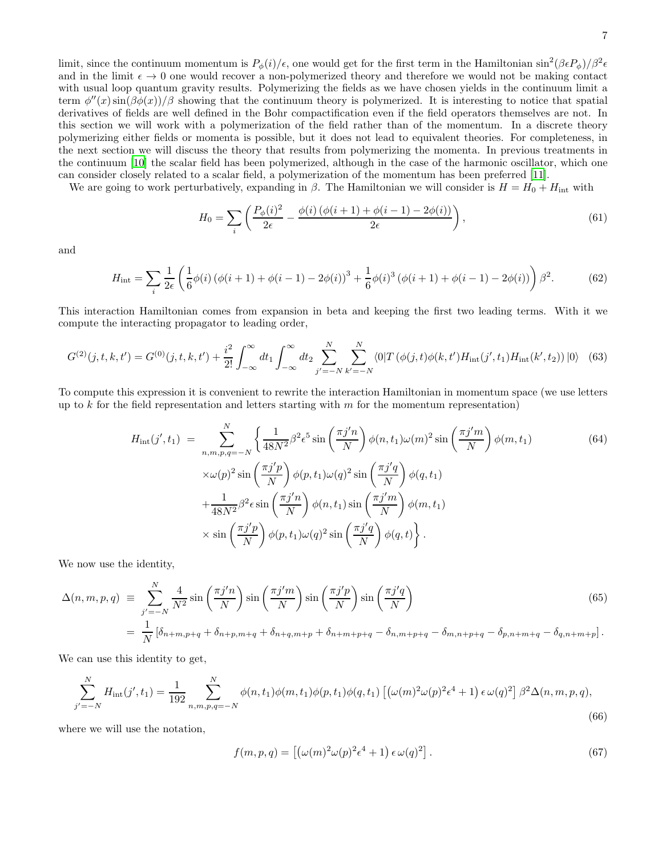limit, since the continuum momentum is  $P_{\phi}(i)/\epsilon$ , one would get for the first term in the Hamiltonian sin<sup>2</sup>( $\beta \epsilon P_{\phi}/\beta^2 \epsilon$ and in the limit  $\epsilon \to 0$  one would recover a non-polymerized theory and therefore we would not be making contact with usual loop quantum gravity results. Polymerizing the fields as we have chosen yields in the continuum limit a term  $\phi''(x) \sin(\beta \phi(x))/\beta$  showing that the continuum theory is polymerized. It is interesting to notice that spatial derivatives of fields are well defined in the Bohr compactification even if the field operators themselves are not. In this section we will work with a polymerization of the field rather than of the momentum. In a discrete theory polymerizing either fields or momenta is possible, but it does not lead to equivalent theories. For completeness, in the next section we will discuss the theory that results from polymerizing the momenta. In previous treatments in the continuum [\[10\]](#page-14-9) the scalar field has been polymerized, although in the case of the harmonic oscillator, which one can consider closely related to a scalar field, a polymerization of the momentum has been preferred [\[11](#page-14-10)].

We are going to work perturbatively, expanding in  $\beta$ . The Hamiltonian we will consider is  $H = H_0 + H_{\text{int}}$  with

$$
H_0 = \sum_{i} \left( \frac{P_{\phi}(i)^2}{2\epsilon} - \frac{\phi(i)\left(\phi(i+1) + \phi(i-1) - 2\phi(i)\right)}{2\epsilon} \right),\tag{61}
$$

and

$$
H_{\rm int} = \sum_{i} \frac{1}{2\epsilon} \left( \frac{1}{6} \phi(i) \left( \phi(i+1) + \phi(i-1) - 2\phi(i) \right)^3 + \frac{1}{6} \phi(i)^3 \left( \phi(i+1) + \phi(i-1) - 2\phi(i) \right) \right) \beta^2.
$$
 (62)

This interaction Hamiltonian comes from expansion in beta and keeping the first two leading terms. With it we compute the interacting propagator to leading order,

$$
G^{(2)}(j,t,k,t') = G^{(0)}(j,t,k,t') + \frac{i^2}{2!} \int_{-\infty}^{\infty} dt_1 \int_{-\infty}^{\infty} dt_2 \sum_{j'=-N}^{N} \sum_{k'= -N}^{N} \langle 0|T(\phi(j,t)\phi(k,t')H_{\rm int}(j',t_1)H_{\rm int}(k',t_2))|0\rangle \tag{63}
$$

To compute this expression it is convenient to rewrite the interaction Hamiltonian in momentum space (we use letters up to  $k$  for the field representation and letters starting with  $m$  for the momentum representation)

$$
H_{\rm int}(j',t_1) = \sum_{n,m,p,q=-N}^{N} \left\{ \frac{1}{48N^2} \beta^2 \epsilon^5 \sin\left(\frac{\pi j'n}{N}\right) \phi(n,t_1) \omega(m)^2 \sin\left(\frac{\pi j'm}{N}\right) \phi(m,t_1) \right\}
$$
  

$$
\times \omega(p)^2 \sin\left(\frac{\pi j'p}{N}\right) \phi(p,t_1) \omega(q)^2 \sin\left(\frac{\pi j'q}{N}\right) \phi(q,t_1)
$$
  

$$
+ \frac{1}{48N^2} \beta^2 \epsilon \sin\left(\frac{\pi j'n}{N}\right) \phi(n,t_1) \sin\left(\frac{\pi j'm}{N}\right) \phi(m,t_1)
$$
  

$$
\times \sin\left(\frac{\pi j'p}{N}\right) \phi(p,t_1) \omega(q)^2 \sin\left(\frac{\pi j'q}{N}\right) \phi(q,t) \right\}.
$$
 (64)

We now use the identity,

$$
\Delta(n,m,p,q) \equiv \sum_{j'= -N}^{N} \frac{4}{N^2} \sin\left(\frac{\pi j'n}{N}\right) \sin\left(\frac{\pi j'm}{N}\right) \sin\left(\frac{\pi j'p}{N}\right) \sin\left(\frac{\pi j'q}{N}\right)
$$
\n
$$
= \frac{1}{N} \left[\delta_{n+m,p+q} + \delta_{n+p,m+q} + \delta_{n+q,m+p} + \delta_{n+m+p+q} - \delta_{n,m+p+q} - \delta_{m,n+p+q} - \delta_{p,n+m+q} - \delta_{q,n+m+p}\right].
$$
\n(65)

We can use this identity to get,

$$
\sum_{j'=-N}^{N} H_{\text{int}}(j', t_1) = \frac{1}{192} \sum_{n, m, p, q=-N}^{N} \phi(n, t_1) \phi(m, t_1) \phi(p, t_1) \phi(q, t_1) \left[ \left(\omega(m)^2 \omega(p)^2 \epsilon^4 + 1\right) \epsilon \omega(q)^2 \right] \beta^2 \Delta(n, m, p, q),\tag{66}
$$

where we will use the notation,

$$
f(m, p, q) = \left[ \left( \omega(m)^2 \omega(p)^2 \epsilon^4 + 1 \right) \epsilon \omega(q)^2 \right]. \tag{67}
$$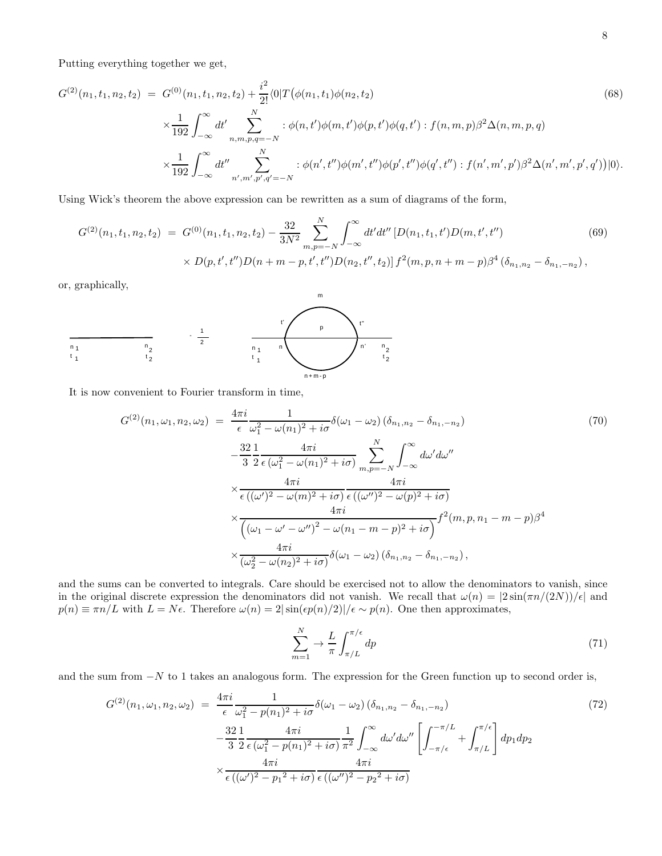Putting everything together we get,

$$
G^{(2)}(n_1, t_1, n_2, t_2) = G^{(0)}(n_1, t_1, n_2, t_2) + \frac{i^2}{2!} \langle 0|T(\phi(n_1, t_1)\phi(n_2, t_2))
$$
\n
$$
\times \frac{1}{192} \int_{-\infty}^{\infty} dt' \sum_{n, m, p, q = -N}^{N} : \phi(n, t')\phi(m, t')\phi(p, t')\phi(q, t') : f(n, m, p)\beta^2 \Delta(n, m, p, q)
$$
\n
$$
\times \frac{1}{192} \int_{-\infty}^{\infty} dt'' \sum_{n', m', p', q' = -N}^{N} : \phi(n', t'')\phi(m', t'')\phi(p', t'')\phi(q', t'') : f(n', m', p')\beta^2 \Delta(n', m', p', q'))|0\rangle.
$$
\n(68)

Using Wick's theorem the above expression can be rewritten as a sum of diagrams of the form,

$$
G^{(2)}(n_1, t_1, n_2, t_2) = G^{(0)}(n_1, t_1, n_2, t_2) - \frac{32}{3N^2} \sum_{m,p=-N}^{N} \int_{-\infty}^{\infty} dt' dt'' \left[ D(n_1, t_1, t') D(m, t', t'') \right] \times D(p, t', t'') D(n + m - p, t', t'') D(n_2, t'', t_2) \left] f^2(m, p, n + m - p) \beta^4 \left( \delta_{n_1, n_2} - \delta_{n_1, -n_2} \right), \tag{69}
$$

or, graphically,



It is now convenient to Fourier transform in time,

$$
G^{(2)}(n_1, \omega_1, n_2, \omega_2) = \frac{4\pi i}{\epsilon} \frac{1}{\omega_1^2 - \omega(n_1)^2 + i\sigma} \delta(\omega_1 - \omega_2) (\delta_{n_1, n_2} - \delta_{n_1, -n_2})
$$
(70)  

$$
- \frac{32}{3} \frac{1}{2} \frac{4\pi i}{\epsilon(\omega_1^2 - \omega(n_1)^2 + i\sigma)} \sum_{m, p = -N}^{N} \int_{-\infty}^{\infty} d\omega' d\omega''
$$
  

$$
\times \frac{4\pi i}{\epsilon((\omega')^2 - \omega(m)^2 + i\sigma)} \frac{4\pi i}{\epsilon((\omega'')^2 - \omega(p)^2 + i\sigma)}
$$
  

$$
\times \frac{4\pi i}{((\omega_1 - \omega' - \omega'')^2 - \omega(n_1 - m - p)^2 + i\sigma)} f^2(m, p, n_1 - m - p) \beta^4
$$
  

$$
\times \frac{4\pi i}{(\omega_2^2 - \omega(n_2)^2 + i\sigma)} \delta(\omega_1 - \omega_2) (\delta_{n_1, n_2} - \delta_{n_1, -n_2}),
$$
(70)  
(71)

and the sums can be converted to integrals. Care should be exercised not to allow the denominators to vanish, since in the original discrete expression the denominators did not vanish. We recall that  $\omega(n) = |2 \sin(\pi n/(2N)) / \epsilon|$  and  $p(n) \equiv \pi n/L$  with  $L = N\epsilon$ . Therefore  $\omega(n) = 2|\sin(\epsilon p(n)/2)|/\epsilon \sim p(n)$ . One then approximates,

$$
\sum_{m=1}^{N} \rightarrow \frac{L}{\pi} \int_{\pi/L}^{\pi/\epsilon} dp \tag{71}
$$

and the sum from −N to 1 takes an analogous form. The expression for the Green function up to second order is,

$$
G^{(2)}(n_1, \omega_1, n_2, \omega_2) = \frac{4\pi i}{\epsilon} \frac{1}{\omega_1^2 - p(n_1)^2 + i\sigma} \delta(\omega_1 - \omega_2) (\delta_{n_1, n_2} - \delta_{n_1, -n_2})
$$
  

$$
- \frac{32}{3} \frac{1}{2} \frac{4\pi i}{\epsilon (\omega_1^2 - p(n_1)^2 + i\sigma)} \frac{1}{\pi^2} \int_{-\infty}^{\infty} d\omega' d\omega'' \left[ \int_{-\pi/\epsilon}^{-\pi/L} + \int_{\pi/L}^{\pi/\epsilon} \right] dp_1 dp_2
$$
  

$$
\times \frac{4\pi i}{\epsilon ((\omega')^2 - p_1^2 + i\sigma)} \frac{4\pi i}{\epsilon ((\omega'')^2 - p_2^2 + i\sigma)}
$$
 (72)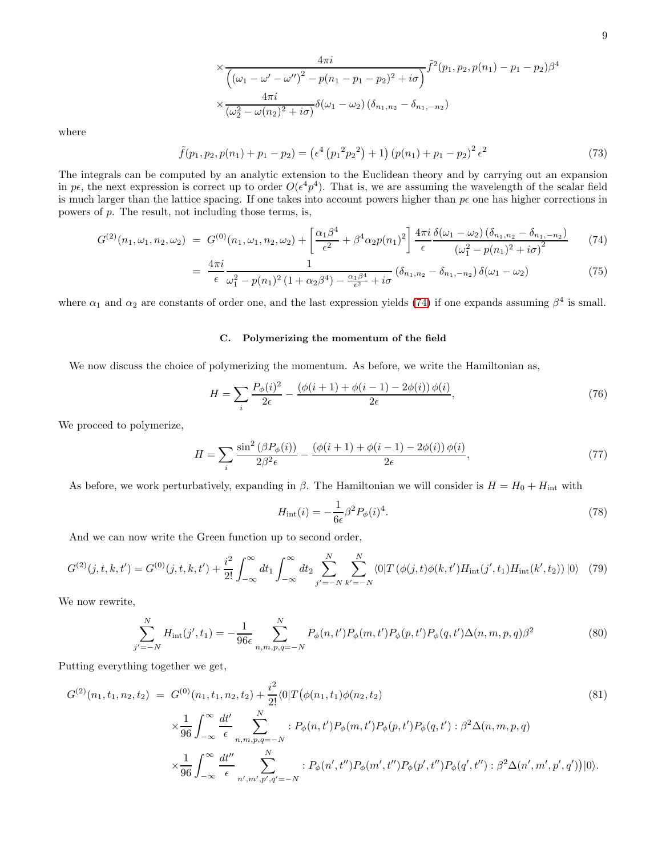$$
\times \frac{4\pi i}{\left(\left(\omega_1 - \omega' - \omega''\right)^2 - p(n_1 - p_1 - p_2)^2 + i\sigma\right)} \tilde{f}^2(p_1, p_2, p(n_1) - p_1 - p_2)\beta^4
$$
  

$$
\times \frac{4\pi i}{\left(\omega_2^2 - \omega(n_2)^2 + i\sigma\right)} \delta(\omega_1 - \omega_2) \left(\delta_{n_1, n_2} - \delta_{n_1, -n_2}\right)
$$

where

$$
\tilde{f}(p_1, p_2, p(n_1) + p_1 - p_2) = (e^4 (p_1^2 p_2^2) + 1) (p(n_1) + p_1 - p_2)^2 e^2
$$
\n(73)

The integrals can be computed by an analytic extension to the Euclidean theory and by carrying out an expansion in  $p\epsilon$ , the next expression is correct up to order  $O(\epsilon^4 p^4)$ . That is, we are assuming the wavelength of the scalar field is much larger than the lattice spacing. If one takes into account powers higher than  $p\epsilon$  one has higher corrections in powers of p. The result, not including those terms, is,

<span id="page-9-0"></span>
$$
G^{(2)}(n_1, \omega_1, n_2, \omega_2) = G^{(0)}(n_1, \omega_1, n_2, \omega_2) + \left[\frac{\alpha_1 \beta^4}{\epsilon^2} + \beta^4 \alpha_2 p(n_1)^2\right] \frac{4\pi i}{\epsilon} \frac{\delta(\omega_1 - \omega_2) \left(\delta_{n_1, n_2} - \delta_{n_1, -n_2}\right)}{\left(\omega_1^2 - p(n_1)^2 + i\sigma\right)^2} \tag{74}
$$

$$
= \frac{4\pi i}{\epsilon} \frac{1}{\omega_1^2 - p(n_1)^2 (1 + \alpha_2 \beta^4) - \frac{\alpha_1 \beta^4}{\epsilon^2} + i\sigma} (\delta_{n_1, n_2} - \delta_{n_1, -n_2}) \delta(\omega_1 - \omega_2)
$$
(75)

where  $\alpha_1$  and  $\alpha_2$  are constants of order one, and the last expression yields [\(74\)](#page-9-0) if one expands assuming  $\beta^4$  is small.

## C. Polymerizing the momentum of the field

We now discuss the choice of polymerizing the momentum. As before, we write the Hamiltonian as,

$$
H = \sum_{i} \frac{P_{\phi}(i)^{2}}{2\epsilon} - \frac{(\phi(i+1) + \phi(i-1) - 2\phi(i))\,\phi(i)}{2\epsilon},\tag{76}
$$

We proceed to polymerize,

$$
H = \sum_{i} \frac{\sin^2\left(\beta P_\phi(i)\right)}{2\beta^2 \epsilon} - \frac{\left(\phi(i+1) + \phi(i-1) - 2\phi(i)\right)\phi(i)}{2\epsilon},\tag{77}
$$

As before, we work perturbatively, expanding in  $\beta$ . The Hamiltonian we will consider is  $H = H_0 + H_{int}$  with

$$
H_{\rm int}(i) = -\frac{1}{6\epsilon} \beta^2 P_{\phi}(i)^4. \tag{78}
$$

And we can now write the Green function up to second order,

$$
G^{(2)}(j,t,k,t') = G^{(0)}(j,t,k,t') + \frac{i^2}{2!} \int_{-\infty}^{\infty} dt_1 \int_{-\infty}^{\infty} dt_2 \sum_{j'=-N}^{N} \sum_{k'= -N}^{N} \langle 0|T(\phi(j,t)\phi(k,t')H_{\rm int}(j',t_1)H_{\rm int}(k',t_2))|0\rangle \tag{79}
$$

We now rewrite,

$$
\sum_{j'=-N}^{N} H_{\text{int}}(j', t_1) = -\frac{1}{96\epsilon} \sum_{n, m, p, q=-N}^{N} P_{\phi}(n, t') P_{\phi}(m, t') P_{\phi}(p, t') P_{\phi}(q, t') \Delta(n, m, p, q) \beta^2
$$
(80)

Putting everything together we get,

$$
G^{(2)}(n_1, t_1, n_2, t_2) = G^{(0)}(n_1, t_1, n_2, t_2) + \frac{i^2}{2!} \langle 0|T(\phi(n_1, t_1)\phi(n_2, t_2))
$$
\n
$$
\times \frac{1}{96} \int_{-\infty}^{\infty} \frac{dt'}{\epsilon} \sum_{n, m, p, q = -N}^{N} : P_{\phi}(n, t') P_{\phi}(m, t') P_{\phi}(p, t') P_{\phi}(q, t') : \beta^2 \Delta(n, m, p, q)
$$
\n
$$
\times \frac{1}{96} \int_{-\infty}^{\infty} \frac{dt''}{\epsilon} \sum_{n', m', p', q' = -N}^{N} : P_{\phi}(n', t'') P_{\phi}(m', t'') P_{\phi}(p', t'') P_{\phi}(q', t'') : \beta^2 \Delta(n', m', p', q')) |0\rangle.
$$
\n(81)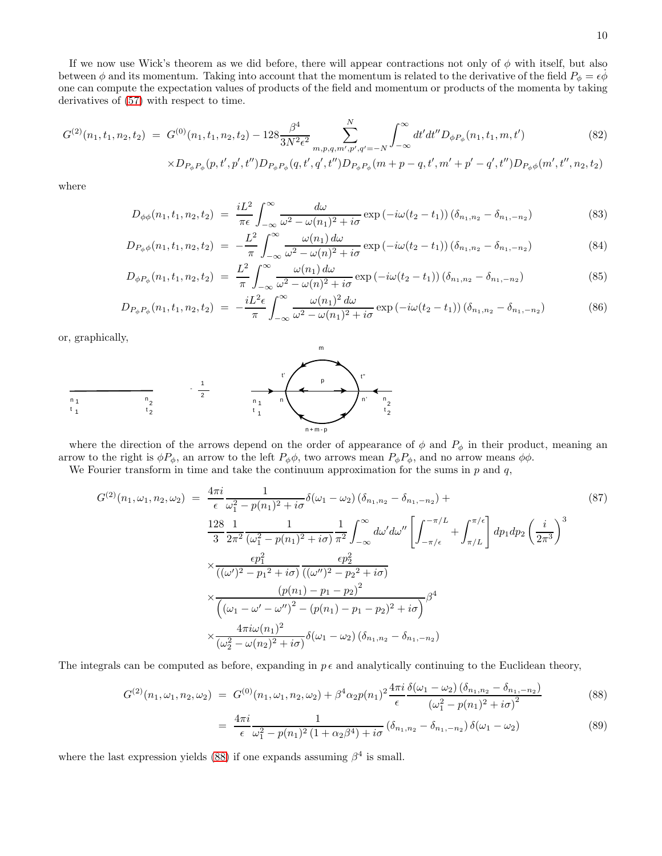If we now use Wick's theorem as we did before, there will appear contractions not only of  $\phi$  with itself, but also between  $\phi$  and its momentum. Taking into account that the momentum is related to the derivative of the field  $P_{\phi} = \epsilon \phi$ one can compute the expectation values of products of the field and momentum or products of the momenta by taking derivatives of [\(57\)](#page-6-1) with respect to time.

$$
G^{(2)}(n_1, t_1, n_2, t_2) = G^{(0)}(n_1, t_1, n_2, t_2) - 128 \frac{\beta^4}{3N^2 \epsilon^2} \sum_{m, p, q, m', p', q' = -N}^{N} \int_{-\infty}^{\infty} dt' dt'' D_{\phi P_{\phi}}(n_1, t_1, m, t') \tag{82}
$$

$$
\times D_{P_{\phi}P_{\phi}}(p, t', p', t'') D_{P_{\phi}P_{\phi}}(q, t', q', t'') D_{P_{\phi}P_{\phi}}(m+p-q, t', m'+p'-q', t'') D_{P_{\phi}\phi}(m', t'', n_2, t_2)
$$

where

$$
D_{\phi\phi}(n_1, t_1, n_2, t_2) = \frac{iL^2}{\pi\epsilon} \int_{-\infty}^{\infty} \frac{d\omega}{\omega^2 - \omega(n_1)^2 + i\sigma} \exp(-i\omega(t_2 - t_1)) (\delta_{n_1, n_2} - \delta_{n_1, -n_2})
$$
(83)

$$
D_{P_{\phi}\phi}(n_1, t_1, n_2, t_2) = -\frac{L^2}{\pi} \int_{-\infty}^{\infty} \frac{\omega(n_1) d\omega}{\omega^2 - \omega(n_1)^2 + i\sigma} \exp(-i\omega(t_2 - t_1)) (\delta_{n_1, n_2} - \delta_{n_1, -n_2})
$$
(84)

$$
D_{\phi P_{\phi}}(n_1, t_1, n_2, t_2) = \frac{L^2}{\pi} \int_{-\infty}^{\infty} \frac{\omega(n_1) d\omega}{\omega^2 - \omega(n_1)^2 + i\sigma} \exp(-i\omega(t_2 - t_1)) (\delta_{n_1, n_2} - \delta_{n_1, -n_2})
$$
(85)

$$
D_{P_{\phi}P_{\phi}}(n_1, t_1, n_2, t_2) = -\frac{iL^2 \epsilon}{\pi} \int_{-\infty}^{\infty} \frac{\omega(n_1)^2 d\omega}{\omega^2 - \omega(n_1)^2 + i\sigma} \exp\left(-i\omega(t_2 - t_1)\right) \left(\delta_{n_1, n_2} - \delta_{n_1, -n_2}\right) \tag{86}
$$

or, graphically,



where the direction of the arrows depend on the order of appearance of  $\phi$  and  $P_{\phi}$  in their product, meaning an arrow to the right is  $\phi P_{\phi}$ , an arrow to the left  $P_{\phi}\phi$ , two arrows mean  $P_{\phi}P_{\phi}$ , and no arrow means  $\phi\phi$ .

We Fourier transform in time and take the continuum approximation for the sums in  $p$  and  $q$ ,

$$
G^{(2)}(n_1, \omega_1, n_2, \omega_2) = \frac{4\pi i}{\epsilon} \frac{1}{\omega_1^2 - p(n_1)^2 + i\sigma} \delta(\omega_1 - \omega_2) \left(\delta_{n_1, n_2} - \delta_{n_1, -n_2}\right) +
$$
  
\n
$$
\frac{128}{3} \frac{1}{2\pi^2} \frac{1}{(\omega_1^2 - p(n_1)^2 + i\sigma)} \frac{1}{\pi^2} \int_{-\infty}^{\infty} d\omega' d\omega'' \left[\int_{-\pi/\epsilon}^{-\pi/L} + \int_{\pi/L}^{\pi/\epsilon}\right] dp_1 dp_2 \left(\frac{i}{2\pi^3}\right)^3
$$
  
\n
$$
\times \frac{ep_1^2}{((\omega')^2 - p_1^2 + i\sigma)} \frac{ep_2^2}{((\omega'')^2 - p_2^2 + i\sigma)}
$$
  
\n
$$
\times \frac{(p(n_1) - p_1 - p_2)^2}{((\omega_1 - \omega' - \omega'')^2 - (p(n_1) - p_1 - p_2)^2 + i\sigma)} \beta^4
$$
  
\n
$$
\times \frac{4\pi i \omega (n_1)^2}{(\omega_2^2 - \omega(n_2)^2 + i\sigma)} \delta(\omega_1 - \omega_2) \left(\delta_{n_1, n_2} - \delta_{n_1, -n_2}\right)
$$
  
\n(87)

The integrals can be computed as before, expanding in  $p \epsilon$  and analytically continuing to the Euclidean theory,

<span id="page-10-0"></span>
$$
G^{(2)}(n_1, \omega_1, n_2, \omega_2) = G^{(0)}(n_1, \omega_1, n_2, \omega_2) + \beta^4 \alpha_2 p(n_1)^2 \frac{4\pi i}{\epsilon} \frac{\delta(\omega_1 - \omega_2) \left(\delta_{n_1, n_2} - \delta_{n_1, -n_2}\right)}{\left(\omega_1^2 - p(n_1)^2 + i\sigma\right)^2}
$$
(88)

$$
= \frac{4\pi i}{\epsilon} \frac{1}{\omega_1^2 - p(n_1)^2 (1 + \alpha_2 \beta^4) + i\sigma} (\delta_{n_1, n_2} - \delta_{n_1, -n_2}) \delta(\omega_1 - \omega_2)
$$
(89)

where the last expression yields [\(88\)](#page-10-0) if one expands assuming  $\beta^4$  is small.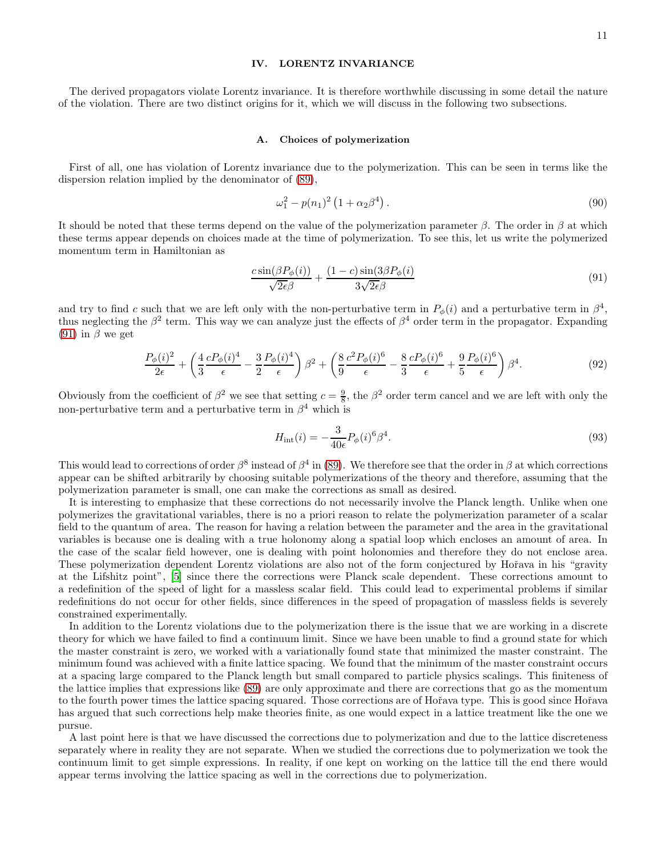#### IV. LORENTZ INVARIANCE

The derived propagators violate Lorentz invariance. It is therefore worthwhile discussing in some detail the nature of the violation. There are two distinct origins for it, which we will discuss in the following two subsections.

#### A. Choices of polymerization

First of all, one has violation of Lorentz invariance due to the polymerization. This can be seen in terms like the dispersion relation implied by the denominator of [\(89\)](#page-10-0),

$$
\omega_1^2 - p(n_1)^2 \left( 1 + \alpha_2 \beta^4 \right). \tag{90}
$$

It should be noted that these terms depend on the value of the polymerization parameter  $\beta$ . The order in  $\beta$  at which these terms appear depends on choices made at the time of polymerization. To see this, let us write the polymerized momentum term in Hamiltonian as

<span id="page-11-0"></span>
$$
\frac{c\sin(\beta P_{\phi}(i))}{\sqrt{2\epsilon}\beta} + \frac{(1-c)\sin(3\beta P_{\phi}(i))}{3\sqrt{2\epsilon}\beta} \tag{91}
$$

and try to find c such that we are left only with the non-perturbative term in  $P_{\phi}(i)$  and a perturbative term in  $\beta^4$ , thus neglecting the  $\beta^2$  term. This way we can analyze just the effects of  $\beta^4$  order term in the propagator. Expanding [\(91\)](#page-11-0) in  $\beta$  we get

$$
\frac{P_{\phi}(i)^{2}}{2\epsilon} + \left(\frac{4}{3}\frac{cP_{\phi}(i)^{4}}{\epsilon} - \frac{3}{2}\frac{P_{\phi}(i)^{4}}{\epsilon}\right)\beta^{2} + \left(\frac{8}{9}\frac{c^{2}P_{\phi}(i)^{6}}{\epsilon} - \frac{8}{3}\frac{cP_{\phi}(i)^{6}}{\epsilon} + \frac{9}{5}\frac{P_{\phi}(i)^{6}}{\epsilon}\right)\beta^{4}.\tag{92}
$$

Obviously from the coefficient of  $\beta^2$  we see that setting  $c = \frac{9}{8}$ , the  $\beta^2$  order term cancel and we are left with only the non-perturbative term and a perturbative term in  $\beta^4$  which is

$$
H_{\rm int}(i) = -\frac{3}{40\epsilon} P_{\phi}(i)^6 \beta^4.
$$
\n(93)

This would lead to corrections of order  $\beta^8$  instead of  $\beta^4$  in [\(89\)](#page-10-0). We therefore see that the order in  $\beta$  at which corrections appear can be shifted arbitrarily by choosing suitable polymerizations of the theory and therefore, assuming that the polymerization parameter is small, one can make the corrections as small as desired.

It is interesting to emphasize that these corrections do not necessarily involve the Planck length. Unlike when one polymerizes the gravitational variables, there is no a priori reason to relate the polymerization parameter of a scalar field to the quantum of area. The reason for having a relation between the parameter and the area in the gravitational variables is because one is dealing with a true holonomy along a spatial loop which encloses an amount of area. In the case of the scalar field however, one is dealing with point holonomies and therefore they do not enclose area. These polymerization dependent Lorentz violations are also not of the form conjectured by Hořava in his "gravity" at the Lifshitz point", [\[5\]](#page-14-4) since there the corrections were Planck scale dependent. These corrections amount to a redefinition of the speed of light for a massless scalar field. This could lead to experimental problems if similar redefinitions do not occur for other fields, since differences in the speed of propagation of massless fields is severely constrained experimentally.

In addition to the Lorentz violations due to the polymerization there is the issue that we are working in a discrete theory for which we have failed to find a continuum limit. Since we have been unable to find a ground state for which the master constraint is zero, we worked with a variationally found state that minimized the master constraint. The minimum found was achieved with a finite lattice spacing. We found that the minimum of the master constraint occurs at a spacing large compared to the Planck length but small compared to particle physics scalings. This finiteness of the lattice implies that expressions like [\(89\)](#page-10-0) are only approximate and there are corrections that go as the momentum to the fourth power times the lattice spacing squared. Those corrections are of Hoˇrava type. This is good since Hoˇrava has argued that such corrections help make theories finite, as one would expect in a lattice treatment like the one we pursue.

A last point here is that we have discussed the corrections due to polymerization and due to the lattice discreteness separately where in reality they are not separate. When we studied the corrections due to polymerization we took the continuum limit to get simple expressions. In reality, if one kept on working on the lattice till the end there would appear terms involving the lattice spacing as well in the corrections due to polymerization.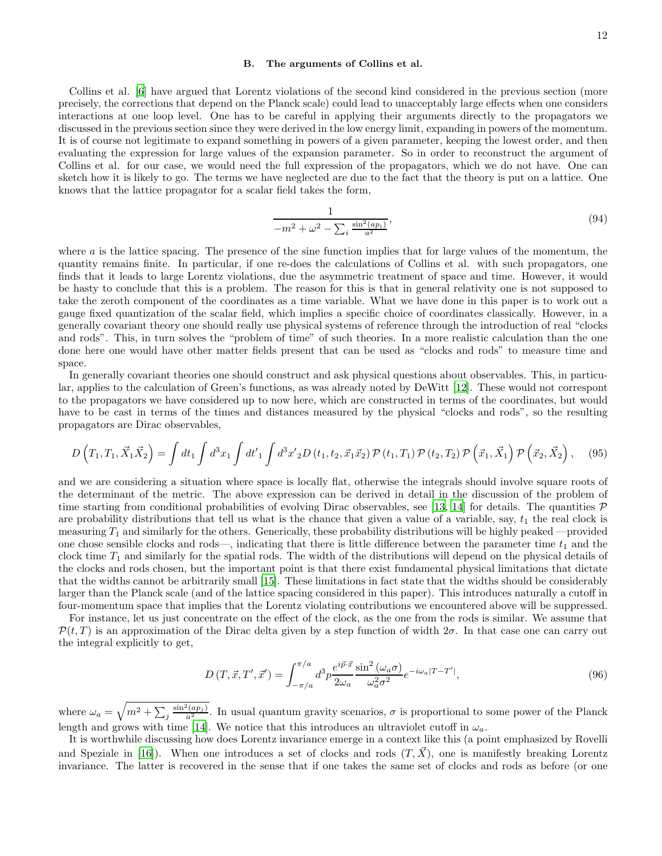#### B. The arguments of Collins et al.

Collins et al. [\[6](#page-14-5)] have argued that Lorentz violations of the second kind considered in the previous section (more precisely, the corrections that depend on the Planck scale) could lead to unacceptably large effects when one considers interactions at one loop level. One has to be careful in applying their arguments directly to the propagators we discussed in the previous section since they were derived in the low energy limit, expanding in powers of the momentum. It is of course not legitimate to expand something in powers of a given parameter, keeping the lowest order, and then evaluating the expression for large values of the expansion parameter. So in order to reconstruct the argument of Collins et al. for our case, we would need the full expression of the propagators, which we do not have. One can sketch how it is likely to go. The terms we have neglected are due to the fact that the theory is put on a lattice. One knows that the lattice propagator for a scalar field takes the form,

$$
\frac{1}{1 - m^2 + \omega^2 - \sum_i \frac{\sin^2(ap_i)}{a^2}},
$$
\n(94)

where  $a$  is the lattice spacing. The presence of the sine function implies that for large values of the momentum, the quantity remains finite. In particular, if one re-does the calculations of Collins et al. with such propagators, one finds that it leads to large Lorentz violations, due the asymmetric treatment of space and time. However, it would be hasty to conclude that this is a problem. The reason for this is that in general relativity one is not supposed to take the zeroth component of the coordinates as a time variable. What we have done in this paper is to work out a gauge fixed quantization of the scalar field, which implies a specific choice of coordinates classically. However, in a generally covariant theory one should really use physical systems of reference through the introduction of real "clocks and rods". This, in turn solves the "problem of time" of such theories. In a more realistic calculation than the one done here one would have other matter fields present that can be used as "clocks and rods" to measure time and space.

In generally covariant theories one should construct and ask physical questions about observables. This, in particular, applies to the calculation of Green's functions, as was already noted by DeWitt [\[12\]](#page-14-11). These would not correspont to the propagators we have considered up to now here, which are constructed in terms of the coordinates, but would have to be cast in terms of the times and distances measured by the physical "clocks and rods", so the resulting propagators are Dirac observables,

$$
D\left(T_1, T_1, \vec{X}_1 \vec{X}_2\right) = \int dt_1 \int d^3x_1 \int dt'_1 \int d^3x'_2 D\left(t_1, t_2, \vec{x}_1 \vec{x}_2\right) \mathcal{P}\left(t_1, T_1\right) \mathcal{P}\left(t_2, T_2\right) \mathcal{P}\left(\vec{x}_1, \vec{X}_1\right) \mathcal{P}\left(\vec{x}_2, \vec{X}_2\right), \quad (95)
$$

and we are considering a situation where space is locally flat, otherwise the integrals should involve square roots of the determinant of the metric. The above expression can be derived in detail in the discussion of the problem of time starting from conditional probabilities of evolving Dirac observables, see [\[13,](#page-14-12) [14](#page-14-13)] for details. The quantities  $\mathcal P$ are probability distributions that tell us what is the chance that given a value of a variable, say,  $t_1$  the real clock is measuring  $T_1$  and similarly for the others. Generically, these probability distributions will be highly peaked —provided one chose sensible clocks and rods—, indicating that there is little difference between the parameter time  $t_1$  and the clock time  $T_1$  and similarly for the spatial rods. The width of the distributions will depend on the physical details of the clocks and rods chosen, but the important point is that there exist fundamental physical limitations that dictate that the widths cannot be arbitrarily small [\[15\]](#page-14-14). These limitations in fact state that the widths should be considerably larger than the Planck scale (and of the lattice spacing considered in this paper). This introduces naturally a cutoff in four-momentum space that implies that the Lorentz violating contributions we encountered above will be suppressed.

For instance, let us just concentrate on the effect of the clock, as the one from the rods is similar. We assume that  $\mathcal{P}(t, T)$  is an approximation of the Dirac delta given by a step function of width  $2\sigma$ . In that case one can carry out the integral explicitly to get,

$$
D\left(T,\vec{x},T',\vec{x}'\right) = \int_{-\pi/a}^{\pi/a} d^3p \frac{e^{i\vec{p}\cdot\vec{x}}}{2\omega_a} \frac{\sin^2\left(\omega_a \sigma\right)}{\omega_a^2 \sigma^2} e^{-i\omega_a|T-T'|},\tag{96}
$$

where  $\omega_a = \sqrt{m^2 + \sum_j \frac{\sin^2(ap_j)}{a^2}}$ . In usual quantum gravity scenarios,  $\sigma$  is proportional to some power of the Planck length and grows with time [\[14\]](#page-14-13). We notice that this introduces an ultraviolet cutoff in  $\omega_a$ .

It is worthwhile discussing how does Lorentz invariance emerge in a context like this (a point emphasized by Rovelli and Speziale in [\[16](#page-14-15)]). When one introduces a set of clocks and rods  $(T, \vec{X})$ , one is manifestly breaking Lorentz invariance. The latter is recovered in the sense that if one takes the same set of clocks and rods as before (or one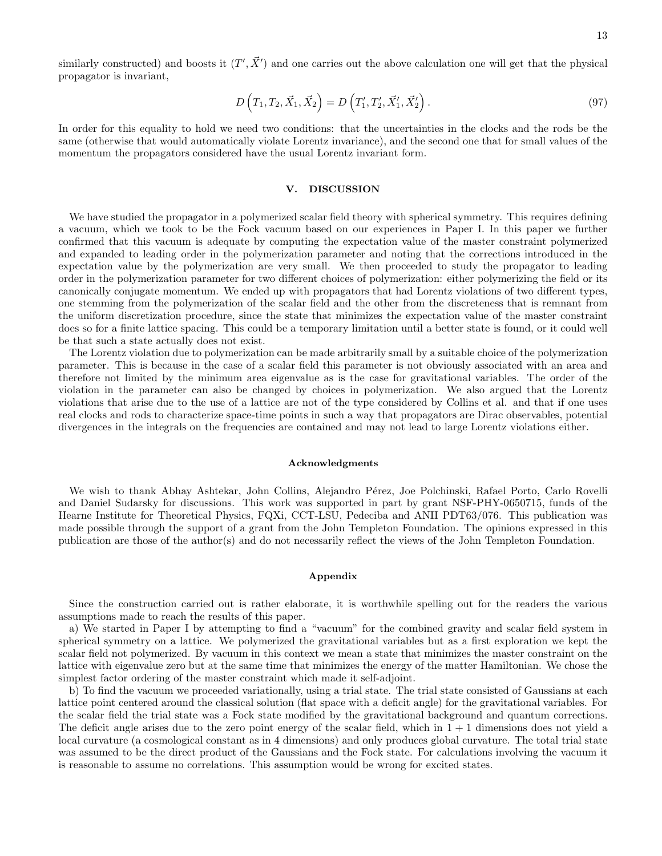similarly constructed) and boosts it  $(T', \vec{X}')$  and one carries out the above calculation one will get that the physical propagator is invariant,

$$
D\left(T_1, T_2, \vec{X}_1, \vec{X}_2\right) = D\left(T'_1, T'_2, \vec{X}'_1, \vec{X}'_2\right).
$$
\n(97)

In order for this equality to hold we need two conditions: that the uncertainties in the clocks and the rods be the same (otherwise that would automatically violate Lorentz invariance), and the second one that for small values of the momentum the propagators considered have the usual Lorentz invariant form.

# V. DISCUSSION

We have studied the propagator in a polymerized scalar field theory with spherical symmetry. This requires defining a vacuum, which we took to be the Fock vacuum based on our experiences in Paper I. In this paper we further confirmed that this vacuum is adequate by computing the expectation value of the master constraint polymerized and expanded to leading order in the polymerization parameter and noting that the corrections introduced in the expectation value by the polymerization are very small. We then proceeded to study the propagator to leading order in the polymerization parameter for two different choices of polymerization: either polymerizing the field or its canonically conjugate momentum. We ended up with propagators that had Lorentz violations of two different types, one stemming from the polymerization of the scalar field and the other from the discreteness that is remnant from the uniform discretization procedure, since the state that minimizes the expectation value of the master constraint does so for a finite lattice spacing. This could be a temporary limitation until a better state is found, or it could well be that such a state actually does not exist.

The Lorentz violation due to polymerization can be made arbitrarily small by a suitable choice of the polymerization parameter. This is because in the case of a scalar field this parameter is not obviously associated with an area and therefore not limited by the minimum area eigenvalue as is the case for gravitational variables. The order of the violation in the parameter can also be changed by choices in polymerization. We also argued that the Lorentz violations that arise due to the use of a lattice are not of the type considered by Collins et al. and that if one uses real clocks and rods to characterize space-time points in such a way that propagators are Dirac observables, potential divergences in the integrals on the frequencies are contained and may not lead to large Lorentz violations either.

#### Acknowledgments

We wish to thank Abhay Ashtekar, John Collins, Alejandro Pérez, Joe Polchinski, Rafael Porto, Carlo Rovelli and Daniel Sudarsky for discussions. This work was supported in part by grant NSF-PHY-0650715, funds of the Hearne Institute for Theoretical Physics, FQXi, CCT-LSU, Pedeciba and ANII PDT63/076. This publication was made possible through the support of a grant from the John Templeton Foundation. The opinions expressed in this publication are those of the author(s) and do not necessarily reflect the views of the John Templeton Foundation.

## Appendix

Since the construction carried out is rather elaborate, it is worthwhile spelling out for the readers the various assumptions made to reach the results of this paper.

a) We started in Paper I by attempting to find a "vacuum" for the combined gravity and scalar field system in spherical symmetry on a lattice. We polymerized the gravitational variables but as a first exploration we kept the scalar field not polymerized. By vacuum in this context we mean a state that minimizes the master constraint on the lattice with eigenvalue zero but at the same time that minimizes the energy of the matter Hamiltonian. We chose the simplest factor ordering of the master constraint which made it self-adjoint.

b) To find the vacuum we proceeded variationally, using a trial state. The trial state consisted of Gaussians at each lattice point centered around the classical solution (flat space with a deficit angle) for the gravitational variables. For the scalar field the trial state was a Fock state modified by the gravitational background and quantum corrections. The deficit angle arises due to the zero point energy of the scalar field, which in  $1 + 1$  dimensions does not yield a local curvature (a cosmological constant as in 4 dimensions) and only produces global curvature. The total trial state was assumed to be the direct product of the Gaussians and the Fock state. For calculations involving the vacuum it is reasonable to assume no correlations. This assumption would be wrong for excited states.